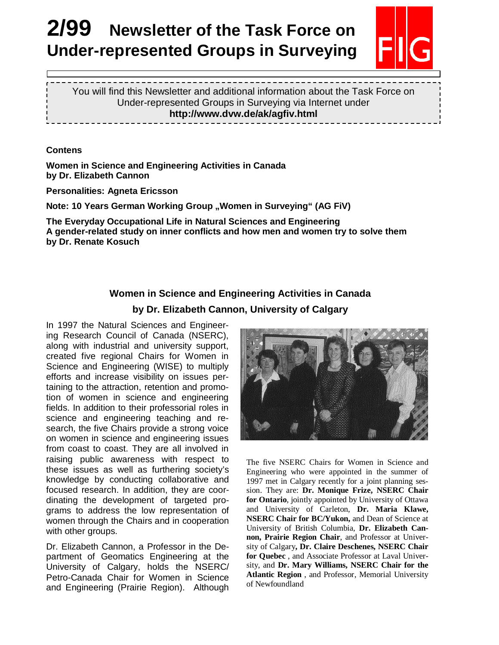# **2/99 Newsletter of the Task Force on Under-represented Groups in Surveying**



You will find this Newsletter and additional information about the Task Force on Under-represented Groups in Surveying via Internet under **http://www.dvw.de/ak/agfiv.html** 

**Contens** 

 $\overline{a}$ 

**Women in Science and Engineering Activities in Canada by Dr. Elizabeth Cannon** 

**Personalities: Agneta Ericsson** 

**Note: 10 Years German Working Group "Women in Surveying" (AG FiV)** 

**The Everyday Occupational Life in Natural Sciences and Engineering A gender-related study on inner conflicts and how men and women try to solve them by Dr. Renate Kosuch** 

## **Women in Science and Engineering Activities in Canada by Dr. Elizabeth Cannon, University of Calgary**

In 1997 the Natural Sciences and Engineering Research Council of Canada (NSERC), along with industrial and university support, created five regional Chairs for Women in Science and Engineering (WISE) to multiply efforts and increase visibility on issues pertaining to the attraction, retention and promotion of women in science and engineering fields. In addition to their professorial roles in science and engineering teaching and research, the five Chairs provide a strong voice on women in science and engineering issues from coast to coast. They are all involved in raising public awareness with respect to these issues as well as furthering society's knowledge by conducting collaborative and focused research. In addition, they are coordinating the development of targeted programs to address the low representation of women through the Chairs and in cooperation with other groups.

Dr. Elizabeth Cannon, a Professor in the Department of Geomatics Engineering at the University of Calgary, holds the NSERC/ Petro-Canada Chair for Women in Science and Engineering (Prairie Region). Although



The five NSERC Chairs for Women in Science and Engineering who were appointed in the summer of 1997 met in Calgary recently for a joint planning session. They are: **Dr. Monique Frize, NSERC Chair for Ontario**, jointly appointed by University of Ottawa and University of Carleton, **Dr. Maria Klawe, NSERC Chair for BC/Yukon,** and Dean of Science at University of British Columbia, **Dr. Elizabeth Cannon, Prairie Region Chair**, and Professor at University of Calgary**, Dr. Claire Deschenes, NSERC Chair for Quebec** , and Associate Professor at Laval University, and **Dr. Mary Williams, NSERC Chair for the Atlantic Region** , and Professor, Memorial University of Newfoundland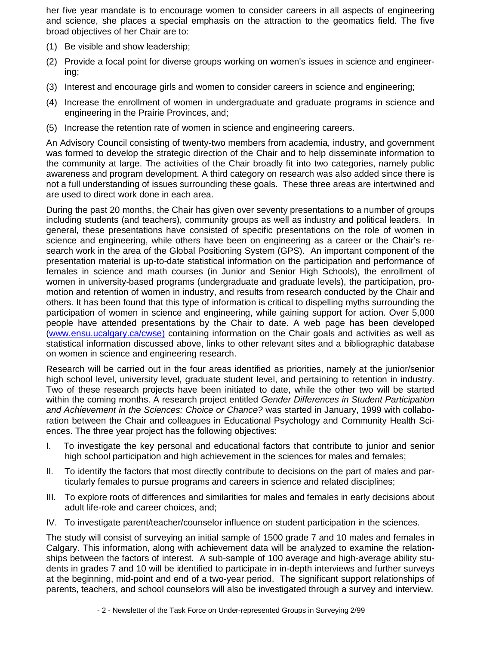her five year mandate is to encourage women to consider careers in all aspects of engineering and science, she places a special emphasis on the attraction to the geomatics field. The five broad objectives of her Chair are to:

- (1) Be visible and show leadership;
- (2) Provide a focal point for diverse groups working on women's issues in science and engineering;
- (3) Interest and encourage girls and women to consider careers in science and engineering;
- (4) Increase the enrollment of women in undergraduate and graduate programs in science and engineering in the Prairie Provinces, and;
- (5) Increase the retention rate of women in science and engineering careers.

An Advisory Council consisting of twenty-two members from academia, industry, and government was formed to develop the strategic direction of the Chair and to help disseminate information to the community at large. The activities of the Chair broadly fit into two categories, namely public awareness and program development. A third category on research was also added since there is not a full understanding of issues surrounding these goals. These three areas are intertwined and are used to direct work done in each area.

During the past 20 months, the Chair has given over seventy presentations to a number of groups including students (and teachers), community groups as well as industry and political leaders. In general, these presentations have consisted of specific presentations on the role of women in science and engineering, while others have been on engineering as a career or the Chair's research work in the area of the Global Positioning System (GPS). An important component of the presentation material is up-to-date statistical information on the participation and performance of females in science and math courses (in Junior and Senior High Schools), the enrollment of women in university-based programs (undergraduate and graduate levels), the participation, promotion and retention of women in industry, and results from research conducted by the Chair and others. It has been found that this type of information is critical to dispelling myths surrounding the participation of women in science and engineering, while gaining support for action. Over 5,000 people have attended presentations by the Chair to date. A web page has been developed (www.ensu.ucalgary.ca/cwse) containing information on the Chair goals and activities as well as statistical information discussed above, links to other relevant sites and a bibliographic database on women in science and engineering research.

Research will be carried out in the four areas identified as priorities, namely at the junior/senior high school level, university level, graduate student level, and pertaining to retention in industry. Two of these research projects have been initiated to date, while the other two will be started within the coming months. A research project entitled Gender Differences in Student Participation and Achievement in the Sciences: Choice or Chance? was started in January, 1999 with collaboration between the Chair and colleagues in Educational Psychology and Community Health Sciences. The three year project has the following objectives:

- I. To investigate the key personal and educational factors that contribute to junior and senior high school participation and high achievement in the sciences for males and females;
- II. To identify the factors that most directly contribute to decisions on the part of males and particularly females to pursue programs and careers in science and related disciplines;
- III. To explore roots of differences and similarities for males and females in early decisions about adult life-role and career choices, and;
- IV. To investigate parent/teacher/counselor influence on student participation in the sciences.

The study will consist of surveying an initial sample of 1500 grade 7 and 10 males and females in Calgary. This information, along with achievement data will be analyzed to examine the relationships between the factors of interest. A sub-sample of 100 average and high-average ability students in grades 7 and 10 will be identified to participate in in-depth interviews and further surveys at the beginning, mid-point and end of a two-year period. The significant support relationships of parents, teachers, and school counselors will also be investigated through a survey and interview.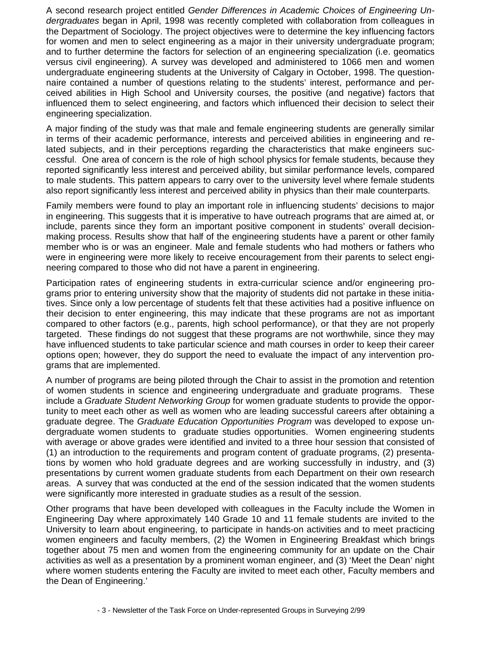A second research project entitled Gender Differences in Academic Choices of Engineering Undergraduates began in April, 1998 was recently completed with collaboration from colleagues in the Department of Sociology. The project objectives were to determine the key influencing factors for women and men to select engineering as a major in their university undergraduate program; and to further determine the factors for selection of an engineering specialization (i.e. geomatics versus civil engineering). A survey was developed and administered to 1066 men and women undergraduate engineering students at the University of Calgary in October, 1998. The questionnaire contained a number of questions relating to the students' interest, performance and perceived abilities in High School and University courses, the positive (and negative) factors that influenced them to select engineering, and factors which influenced their decision to select their engineering specialization.

A major finding of the study was that male and female engineering students are generally similar in terms of their academic performance, interests and perceived abilities in engineering and related subjects, and in their perceptions regarding the characteristics that make engineers successful. One area of concern is the role of high school physics for female students, because they reported significantly less interest and perceived ability, but similar performance levels, compared to male students. This pattern appears to carry over to the university level where female students also report significantly less interest and perceived ability in physics than their male counterparts.

Family members were found to play an important role in influencing students' decisions to major in engineering. This suggests that it is imperative to have outreach programs that are aimed at, or include, parents since they form an important positive component in students' overall decisionmaking process. Results show that half of the engineering students have a parent or other family member who is or was an engineer. Male and female students who had mothers or fathers who were in engineering were more likely to receive encouragement from their parents to select engineering compared to those who did not have a parent in engineering.

Participation rates of engineering students in extra-curricular science and/or engineering programs prior to entering university show that the majority of students did not partake in these initiatives. Since only a low percentage of students felt that these activities had a positive influence on their decision to enter engineering, this may indicate that these programs are not as important compared to other factors (e.g., parents, high school performance), or that they are not properly targeted. These findings do not suggest that these programs are not worthwhile, since they may have influenced students to take particular science and math courses in order to keep their career options open; however, they do support the need to evaluate the impact of any intervention programs that are implemented.

A number of programs are being piloted through the Chair to assist in the promotion and retention of women students in science and engineering undergraduate and graduate programs. These include a Graduate Student Networking Group for women graduate students to provide the opportunity to meet each other as well as women who are leading successful careers after obtaining a graduate degree. The Graduate Education Opportunities Program was developed to expose undergraduate women students to graduate studies opportunities. Women engineering students with average or above grades were identified and invited to a three hour session that consisted of (1) an introduction to the requirements and program content of graduate programs, (2) presentations by women who hold graduate degrees and are working successfully in industry, and (3) presentations by current women graduate students from each Department on their own research areas. A survey that was conducted at the end of the session indicated that the women students were significantly more interested in graduate studies as a result of the session.

Other programs that have been developed with colleagues in the Faculty include the Women in Engineering Day where approximately 140 Grade 10 and 11 female students are invited to the University to learn about engineering, to participate in hands-on activities and to meet practicing women engineers and faculty members, (2) the Women in Engineering Breakfast which brings together about 75 men and women from the engineering community for an update on the Chair activities as well as a presentation by a prominent woman engineer, and (3) 'Meet the Dean' night where women students entering the Faculty are invited to meet each other, Faculty members and the Dean of Engineering.'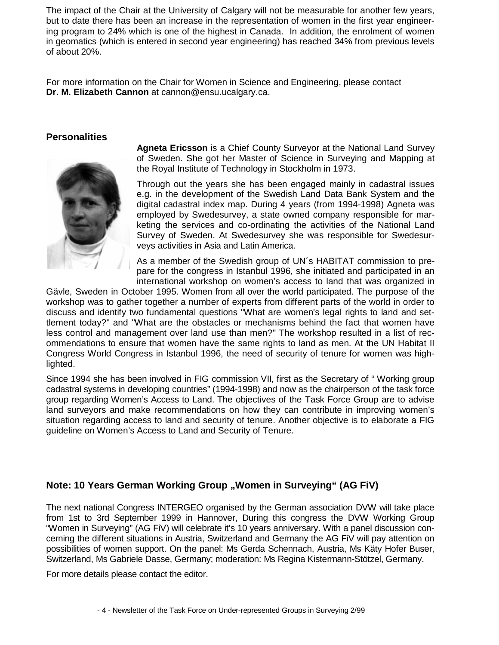The impact of the Chair at the University of Calgary will not be measurable for another few years, but to date there has been an increase in the representation of women in the first year engineering program to 24% which is one of the highest in Canada. In addition, the enrolment of women in geomatics (which is entered in second year engineering) has reached 34% from previous levels of about 20%.

For more information on the Chair for Women in Science and Engineering, please contact **Dr. M. Elizabeth Cannon** at cannon@ensu.ucalgary.ca.

### **Personalities**



**Agneta Ericsson** is a Chief County Surveyor at the National Land Survey of Sweden. She got her Master of Science in Surveying and Mapping at the Royal Institute of Technology in Stockholm in 1973.

Through out the years she has been engaged mainly in cadastral issues e.g. in the development of the Swedish Land Data Bank System and the digital cadastral index map. During 4 years (from 1994-1998) Agneta was employed by Swedesurvey, a state owned company responsible for marketing the services and co-ordinating the activities of the National Land Survey of Sweden. At Swedesurvey she was responsible for Swedesurveys activities in Asia and Latin America.

As a member of the Swedish group of UN´s HABITAT commission to prepare for the congress in Istanbul 1996, she initiated and participated in an international workshop on women's access to land that was organized in

Gävle, Sweden in October 1995. Women from all over the world participated. The purpose of the workshop was to gather together a number of experts from different parts of the world in order to discuss and identify two fundamental questions "What are women's legal rights to land and settlement today?" and "What are the obstacles or mechanisms behind the fact that women have less control and management over land use than men?" The workshop resulted in a list of recommendations to ensure that women have the same rights to land as men. At the UN Habitat II Congress World Congress in Istanbul 1996, the need of security of tenure for women was highlighted.

Since 1994 she has been involved in FIG commission VII, first as the Secretary of " Working group cadastral systems in developing countries" (1994-1998) and now as the chairperson of the task force group regarding Women's Access to Land. The objectives of the Task Force Group are to advise land surveyors and make recommendations on how they can contribute in improving women's situation regarding access to land and security of tenure. Another objective is to elaborate a FIG guideline on Women's Access to Land and Security of Tenure.

## **Note: 10 Years German Working Group ..Women in Surveying" (AG FiV)**

The next national Congress INTERGEO organised by the German association DVW will take place from 1st to 3rd September 1999 in Hannover, During this congress the DVW Working Group "Women in Surveying" (AG FiV) will celebrate it's 10 years anniversary. With a panel discussion concerning the different situations in Austria, Switzerland and Germany the AG FiV will pay attention on possibilities of women support. On the panel: Ms Gerda Schennach, Austria, Ms Käty Hofer Buser, Switzerland, Ms Gabriele Dasse, Germany; moderation: Ms Regina Kistermann-Stötzel, Germany.

For more details please contact the editor.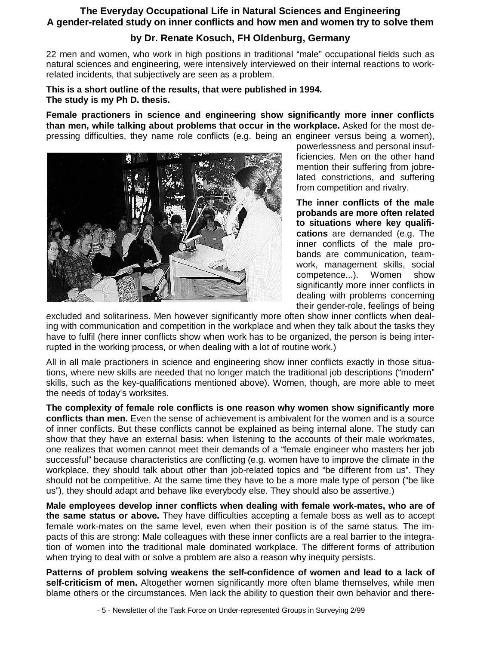## **The Everyday Occupational Life in Natural Sciences and Engineering A gender-related study on inner conflicts and how men and women try to solve them**

## **by Dr. Renate Kosuch, FH Oldenburg, Germany**

22 men and women, who work in high positions in traditional "male" occupational fields such as natural sciences and engineering, were intensively interviewed on their internal reactions to workrelated incidents, that subjectively are seen as a problem.

**This is a short outline of the results, that were published in 1994. The study is my Ph D. thesis.** 

**Female practioners in science and engineering show significantly more inner conflicts than men, while talking about problems that occur in the workplace.** Asked for the most depressing difficulties, they name role conflicts (e.g. being an engineer versus being a women),



powerlessness and personal insufficiencies. Men on the other hand mention their suffering from jobrelated constrictions, and suffering from competition and rivalry.

**The inner conflicts of the male probands are more often related to situations where key qualifications** are demanded (e.g. The inner conflicts of the male probands are communication, teamwork, management skills, social competence...). Women show significantly more inner conflicts in dealing with problems concerning their gender-role, feelings of being

excluded and solitariness. Men however significantly more often show inner conflicts when dealing with communication and competition in the workplace and when they talk about the tasks they have to fulfil (here inner conflicts show when work has to be organized, the person is being interrupted in the working process, or when dealing with a lot of routine work.)

All in all male practioners in science and engineering show inner conflicts exactly in those situations, where new skills are needed that no longer match the traditional job descriptions ("modern" skills, such as the key-qualifications mentioned above). Women, though, are more able to meet the needs of today's worksites.

**The complexity of female role conflicts is one reason why women show significantly more conflicts than men.** Even the sense of achievement is ambivalent for the women and is a source of inner conflicts. But these conflicts cannot be explained as being internal alone. The study can show that they have an external basis: when listening to the accounts of their male workmates, one realizes that women cannot meet their demands of a "female engineer who masters her job successful" because characteristics are conflicting (e.g. women have to improve the climate in the workplace, they should talk about other than job-related topics and "be different from us". They should not be competitive. At the same time they have to be a more male type of person ("be like us"), they should adapt and behave like everybody else. They should also be assertive.)

**Male employees develop inner conflicts when dealing with female work-mates, who are of the same status or above.** They have difficulties accepting a female boss as well as to accept female work-mates on the same level, even when their position is of the same status. The impacts of this are strong: Male colleagues with these inner conflicts are a real barrier to the integration of women into the traditional male dominated workplace. The different forms of attribution when trying to deal with or solve a problem are also a reason why inequity persists.

**Patterns of problem solving weakens the self-confidence of women and lead to a lack of self-criticism of men.** Altogether women significantly more often blame themselves, while men blame others or the circumstances. Men lack the ability to question their own behavior and there